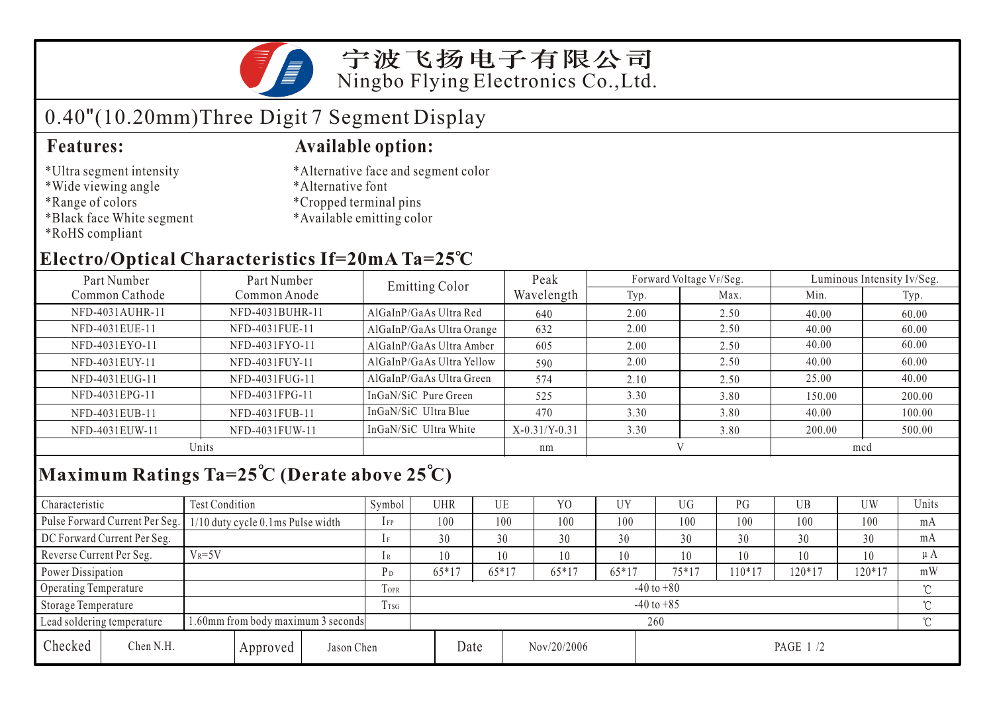

# 0.40"(10.20mm)Three Digit 7 Segment Display

- \*Ultra segment intensity
- \*Wide viewing angle
- \*Range of colors
- \*Black face White segment
- \*RoHS compliant

### **Features: Available option:**

- \*Alternative face and segment color
- \*Alternative font
- \*Cropped terminal pins
- \*Available emitting color

### **Electro/Optical Characteristics If=20mA Ta=25 C**

| Part Number     | Part Number     |                           | Peak            |      | Forward Voltage VF/Seg. | Luminous Intensity Iv/Seg. |        |  |
|-----------------|-----------------|---------------------------|-----------------|------|-------------------------|----------------------------|--------|--|
| Common Cathode  | Common Anode    | <b>Emitting Color</b>     | Wavelength      | Typ. | Max.                    | Min.                       | Typ.   |  |
| NFD-4031AUHR-11 | NFD-4031BUHR-11 | AlGaInP/GaAs Ultra Red    | 640             | 2.00 | 2.50                    | 40.00                      | 60.00  |  |
| NFD-4031EUE-11  | NFD-4031FUE-11  | AlGaInP/GaAs Ultra Orange | 632             | 2.00 | 2.50                    | 40.00                      | 60.00  |  |
| NFD-4031EYO-11  | NFD-4031FYO-11  | AlGaInP/GaAs Ultra Amber  | 605             | 2.00 | 2.50                    | 40.00                      | 60.00  |  |
| NFD-4031EUY-11  | NFD-4031FUY-11  | AlGaInP/GaAs Ultra Yellow | 590             | 2.00 | 2.50                    | 40.00                      | 60.00  |  |
| NFD-4031EUG-11  | NFD-4031FUG-11  | AlGaInP/GaAs Ultra Green  | 574             | 2.10 | 2.50                    | 25.00                      | 40.00  |  |
| NFD-4031EPG-11  | NFD-4031FPG-11  | InGaN/SiC Pure Green      | 525             | 3.30 | 3.80                    | 150.00                     | 200.00 |  |
| NFD-4031EUB-11  | NFD-4031FUB-11  | InGaN/SiC Ultra Blue      | 470             | 3.30 | 3.80                    | 40.00                      | 100.00 |  |
| NFD-4031EUW-11  | NFD-4031FUW-11  | InGaN/SiC Ultra White     | $X-0.31/Y-0.31$ | 3.30 | 3.80                    | 200.00                     | 500.00 |  |
| Units           |                 |                           | nm              |      |                         | mcd                        |        |  |

## **Maximum Ratings Ta=25 C (Derate above 25 C)**

| Characteristic                                                   |                                | <b>Test Condition</b>             |          |                | Symbol         | <b>UHR</b> |         | UE      | Y <sub>O</sub> | UY      | UG        | PG       | UB       | UW  | Units |
|------------------------------------------------------------------|--------------------------------|-----------------------------------|----------|----------------|----------------|------------|---------|---------|----------------|---------|-----------|----------|----------|-----|-------|
|                                                                  | Pulse Forward Current Per Seg. | 1/10 duty cycle 0.1ms Pulse width |          |                | $1$ FP         | 100        |         | 100     | 100            | 100     | 100       | 100      | 100      | 100 | mA    |
|                                                                  | DC Forward Current Per Seg.    |                                   |          |                |                | 30         |         | 30      | 30             | 30      | 30        | 30       | 30       | 30  | mA    |
| Reverse Current Per Seg.                                         |                                | $V_R = 5V$                        |          |                | 1 R            | 10         |         | 10      | 10             | 10      | 10        | 10       | 10       | 10  | μA    |
| Power Dissipation                                                |                                |                                   | $P_D$    | 65*17          |                | $65*17$    | $65*17$ | $65*17$ | $75*17$        | $10*17$ | $120*17$  | $120*17$ | mW       |     |       |
| <b>Operating Temperature</b>                                     |                                |                                   |          | <b>TOPR</b>    | $-40$ to $+80$ |            |         |         |                |         |           |          |          | ొ   |       |
| Storage Temperature                                              |                                |                                   | Trsg     | $-40$ to $+85$ |                |            |         |         |                |         |           |          | $\gamma$ |     |       |
| 1.60mm from body maximum 3 seconds<br>Lead soldering temperature |                                |                                   |          |                | 260            |            |         |         |                |         |           |          |          |     |       |
| Checked                                                          | Chen N.H.                      |                                   | Approved | Jason Chen     |                |            | Date    |         | Nov/20/2006    |         | PAGE 1 /2 |          |          |     |       |